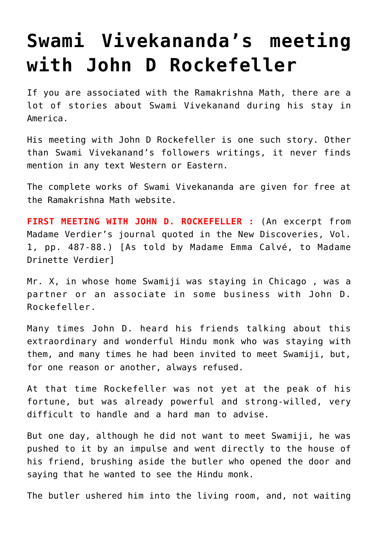## **[Swami Vivekananda's meeting](https://aryadharma.world/articles/vivek_rock/) [with John D Rockefeller](https://aryadharma.world/articles/vivek_rock/)**

If you are associated with the [Ramakrishna Math,](http://en.wikipedia.org/wiki/Ramakrishna_Math) there are a lot of stories about [Swami Vivekanand](http://en.wikipedia.org/wiki/Swami_Vivekananda) during [his stay in](http://en.wikipedia.org/wiki/Swami_Vivekananda#First_visit_to_the_West_.281893.E2.80.9397.29) [America.](http://en.wikipedia.org/wiki/Swami_Vivekananda#First_visit_to_the_West_.281893.E2.80.9397.29)

His meeting with [John D Rockefeller](http://en.wikipedia.org/wiki/John_D._Rockefeller) is one such story. Other than [Swami Vivekanand's](http://en.wikipedia.org/wiki/Swami_Vivekananda) followers [writings](http://en.wikipedia.org/wiki/Swami_Vivekananda_in_the_West:_New_Discoveries), it never finds mention in any text Western or Eastern.

[The complete works](http://belurmath.org/complete_works_of_swami_vivekananda/) of Swami Vivekananda are given for free at the Ramakrishna Math website.

**FIRST MEETING WITH JOHN D. ROCKEFELLER :** (An excerpt from Madame Verdier's journal quoted in the [New Discoveries,](http://en.wikipedia.org/wiki/Swami_Vivekananda_in_the_West:_New_Discoveries) Vol. 1, pp. 487-88.) [As told by Madame Emma Calvé, to Madame Drinette Verdier]

Mr. X, in whose home [Swamiji](http://en.wikipedia.org/wiki/Swami_Vivekananda) was staying in Chicago , was a partner or an associate in some business with John D. Rockefeller.

Many times John D. heard his friends talking about this extraordinary and wonderful Hindu monk who was staying with them, and many times he had been invited to meet Swamiji, but, for one reason or another, always refused.

At that time Rockefeller was not yet at the peak of his fortune, but was already powerful and strong-willed, very difficult to handle and a hard man to advise.

But one day, although he did not want to meet Swamiji, he was pushed to it by an impulse and went directly to the house of his friend, brushing aside the butler who opened the door and saying that he wanted to see the Hindu monk.

The butler ushered him into the living room, and, not waiting